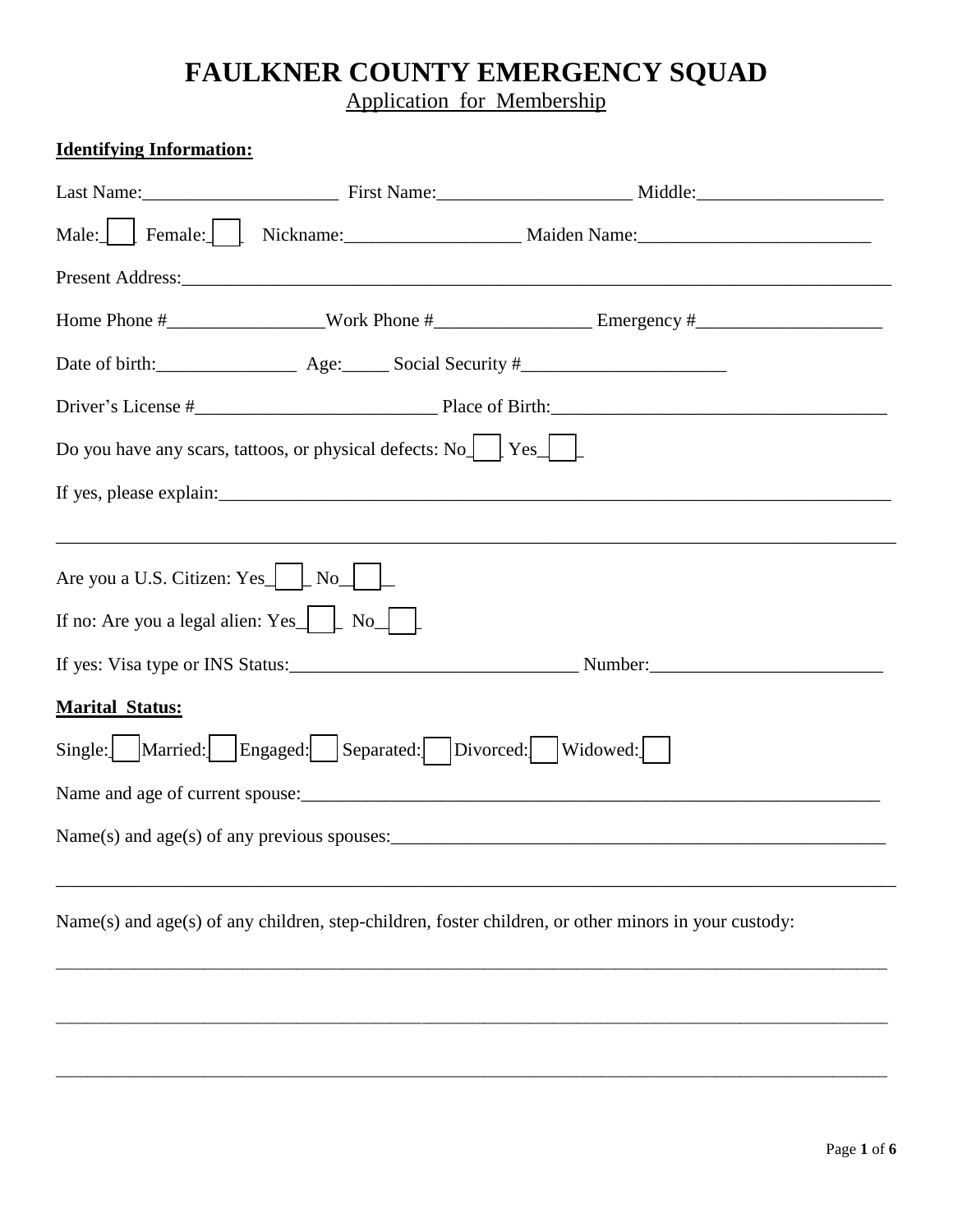## **FAULKNER COUNTY EMERGENCY SQUAD**

Application for Membership

| <b>Identifying Information:</b>                                                                      |  |  |  |  |
|------------------------------------------------------------------------------------------------------|--|--|--|--|
|                                                                                                      |  |  |  |  |
| Male: Female: Nickname: Maiden Name: Maiden Name:                                                    |  |  |  |  |
|                                                                                                      |  |  |  |  |
|                                                                                                      |  |  |  |  |
|                                                                                                      |  |  |  |  |
|                                                                                                      |  |  |  |  |
| Do you have any scars, tattoos, or physical defects: $\text{No}$   Yes                               |  |  |  |  |
| If yes, please explain:                                                                              |  |  |  |  |
| Are you a U.S. Citizen: Yes $\Box$ No $\Box$<br>If no: Are you a legal alien: $Yes$ $\Box$ No $\Box$ |  |  |  |  |
|                                                                                                      |  |  |  |  |
| <b>Marital Status:</b>                                                                               |  |  |  |  |
| Single: Married: Engaged: Separated: Divorced: Widowed:                                              |  |  |  |  |
| Name and age of current spouse:                                                                      |  |  |  |  |
|                                                                                                      |  |  |  |  |
| Name(s) and age(s) of any children, step-children, foster children, or other minors in your custody: |  |  |  |  |
|                                                                                                      |  |  |  |  |
|                                                                                                      |  |  |  |  |

\_\_\_\_\_\_\_\_\_\_\_\_\_\_\_\_\_\_\_\_\_\_\_\_\_\_\_\_\_\_\_\_\_\_\_\_\_\_\_\_\_\_\_\_\_\_\_\_\_\_\_\_\_\_\_\_\_\_\_\_\_\_\_\_\_\_\_\_\_\_\_\_\_\_\_\_\_\_\_\_\_\_\_\_\_\_\_\_\_\_\_\_\_\_\_\_\_\_\_\_\_\_\_\_\_\_\_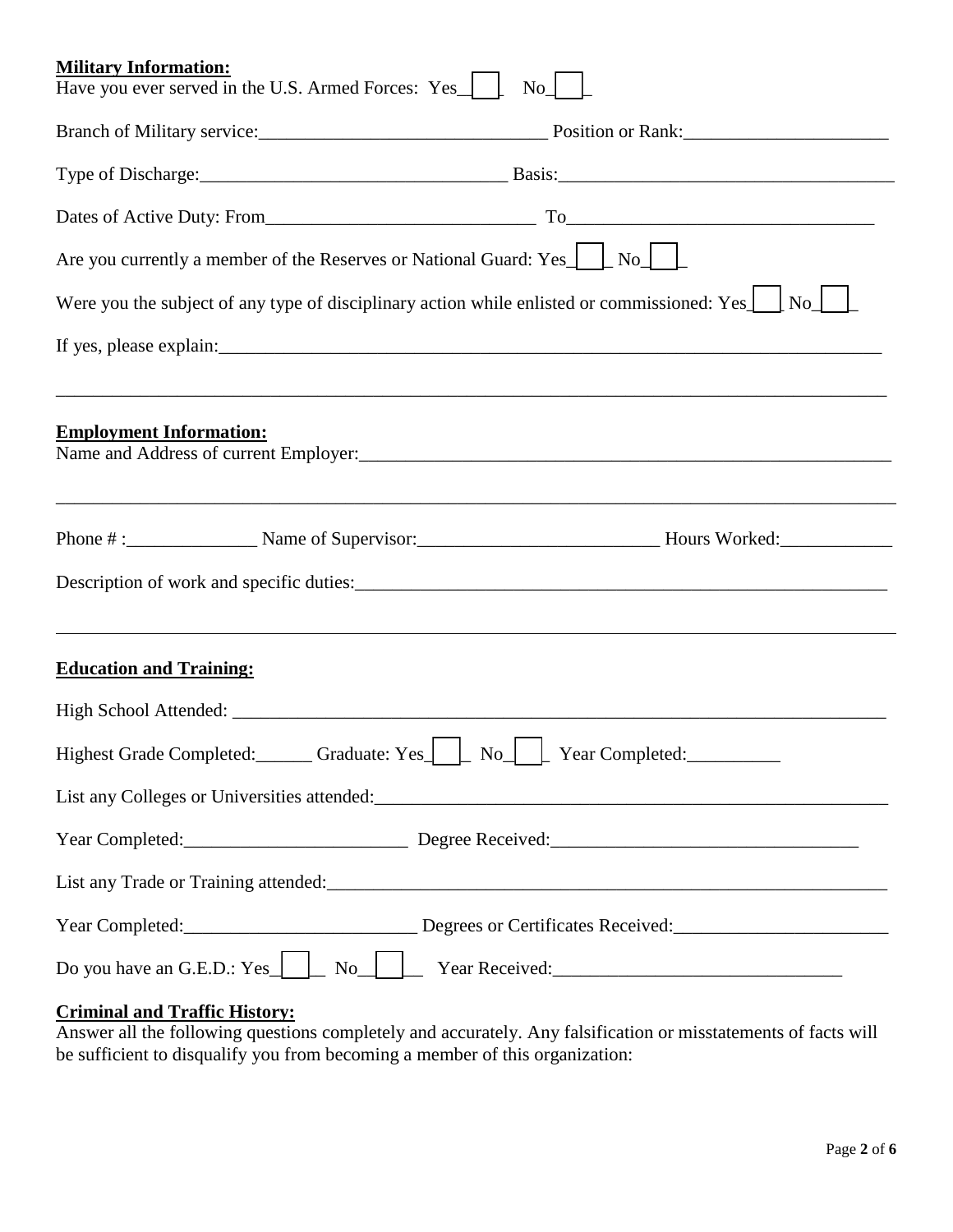| <b>Military Information:</b><br>Have you ever served in the U.S. Armed Forces: Yes<br>No                           |
|--------------------------------------------------------------------------------------------------------------------|
| Branch of Military service: Position or Rank: National Position or Rank:                                           |
|                                                                                                                    |
|                                                                                                                    |
| Are you currently a member of the Reserves or National Guard: Yes $\Box$ No $\Box$                                 |
| Were you the subject of any type of disciplinary action while enlisted or commissioned: Yes $\perp$ No             |
|                                                                                                                    |
|                                                                                                                    |
| <b>Employment Information:</b>                                                                                     |
|                                                                                                                    |
|                                                                                                                    |
| ,我们也不会有什么。""我们的人,我们也不会有什么?""我们的人,我们也不会有什么?""我们的人,我们也不会有什么?""我们的人,我们也不会有什么?""我们的人<br><b>Education and Training:</b> |
|                                                                                                                    |
| Highest Grade Completed: Graduate: Yes Room No L Year Completed:                                                   |
|                                                                                                                    |
| Year Completed: Degree Received: Degree 2014                                                                       |
|                                                                                                                    |
|                                                                                                                    |
|                                                                                                                    |

## **Criminal and Traffic History:**

Answer all the following questions completely and accurately. Any falsification or misstatements of facts will be sufficient to disqualify you from becoming a member of this organization: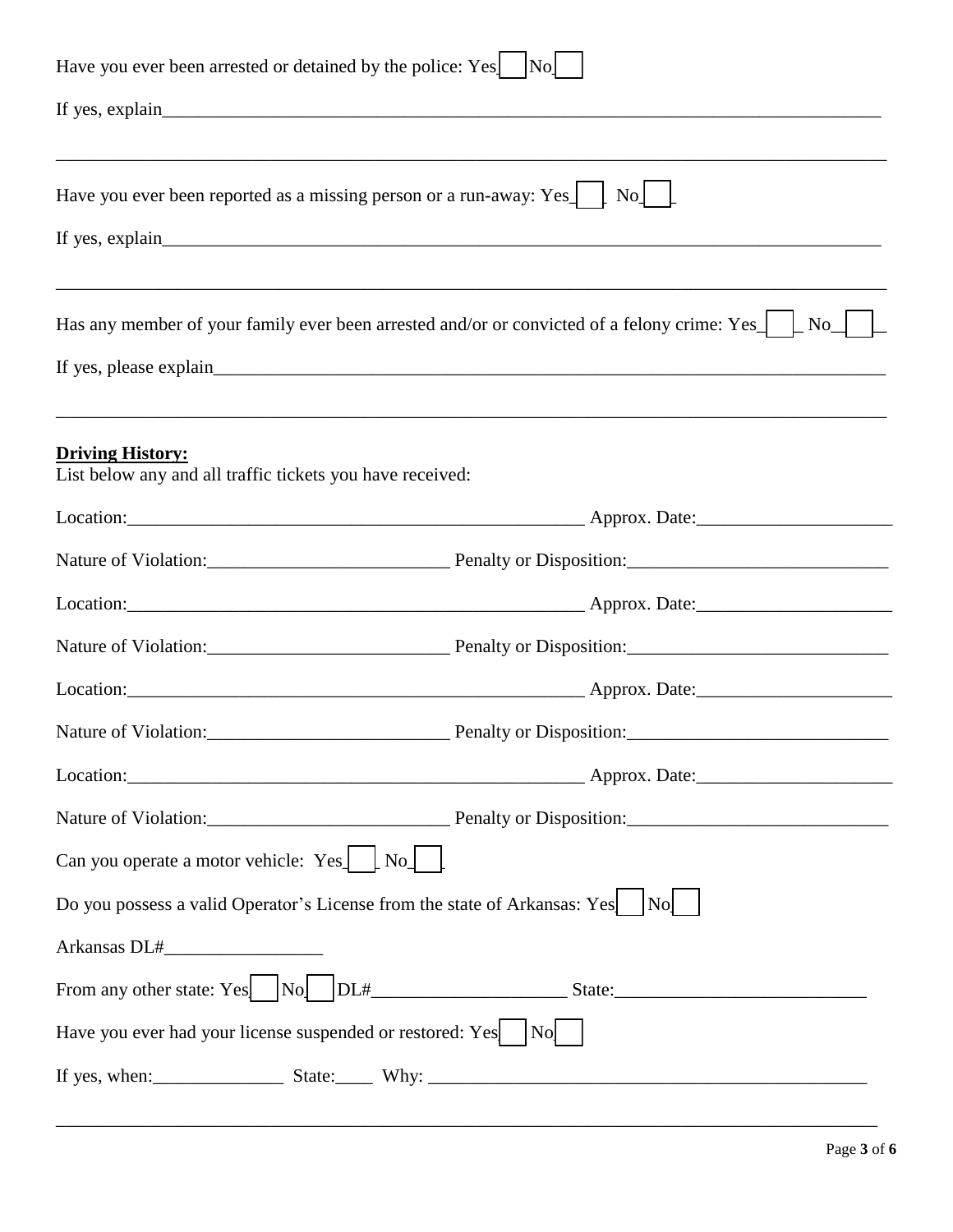| Have you ever been arrested or detained by the police: Yes    No                     |                                                                                                       |  |  |  |
|--------------------------------------------------------------------------------------|-------------------------------------------------------------------------------------------------------|--|--|--|
|                                                                                      |                                                                                                       |  |  |  |
| Have you ever been reported as a missing person or a run-away: Yes<br>$\rm{No}$      |                                                                                                       |  |  |  |
|                                                                                      | Has any member of your family ever been arrested and/or or convicted of a felony crime: Yes $\Box$ No |  |  |  |
| <b>Driving History:</b><br>List below any and all traffic tickets you have received: |                                                                                                       |  |  |  |
|                                                                                      |                                                                                                       |  |  |  |
|                                                                                      |                                                                                                       |  |  |  |
|                                                                                      |                                                                                                       |  |  |  |
|                                                                                      |                                                                                                       |  |  |  |
|                                                                                      |                                                                                                       |  |  |  |
|                                                                                      |                                                                                                       |  |  |  |
|                                                                                      |                                                                                                       |  |  |  |
|                                                                                      |                                                                                                       |  |  |  |
| Can you operate a motor vehicle: $Yes$ $\Box$ No $\Box$                              |                                                                                                       |  |  |  |
| Do you possess a valid Operator's License from the state of Arkansas: Yes   No       |                                                                                                       |  |  |  |
|                                                                                      |                                                                                                       |  |  |  |
|                                                                                      |                                                                                                       |  |  |  |
| Have you ever had your license suspended or restored: Yes   No                       |                                                                                                       |  |  |  |
|                                                                                      |                                                                                                       |  |  |  |

\_\_\_\_\_\_\_\_\_\_\_\_\_\_\_\_\_\_\_\_\_\_\_\_\_\_\_\_\_\_\_\_\_\_\_\_\_\_\_\_\_\_\_\_\_\_\_\_\_\_\_\_\_\_\_\_\_\_\_\_\_\_\_\_\_\_\_\_\_\_\_\_\_\_\_\_\_\_\_\_\_\_\_\_\_\_\_\_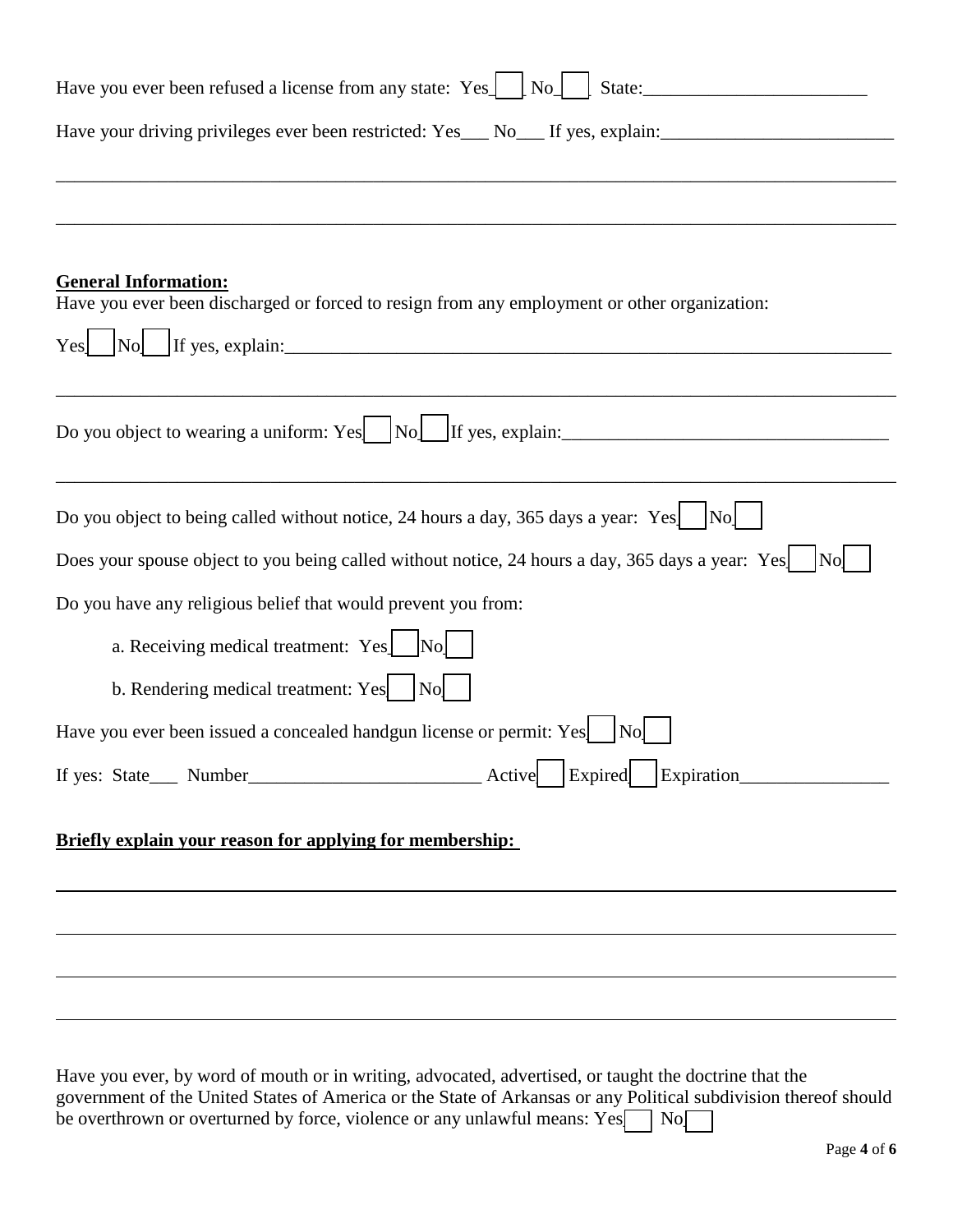| Have you ever been refused a license from any state: Yes.   No.   State:                                                                                      |  |  |  |
|---------------------------------------------------------------------------------------------------------------------------------------------------------------|--|--|--|
| Have your driving privileges ever been restricted: Yes__ No__ If yes, explain:______________________                                                          |  |  |  |
|                                                                                                                                                               |  |  |  |
|                                                                                                                                                               |  |  |  |
| <b>General Information:</b><br>Have you ever been discharged or forced to resign from any employment or other organization:<br>$\log$ If yes, explain:<br>Yes |  |  |  |
| Do you object to wearing a uniform: Yes $\vert$ $\vert$ No $\vert$ If yes, explain:                                                                           |  |  |  |
|                                                                                                                                                               |  |  |  |
| Do you object to being called without notice, 24 hours a day, 365 days a year: Yes $ No $                                                                     |  |  |  |
| Does your spouse object to you being called without notice, 24 hours a day, 365 days a year: Yes                                                              |  |  |  |
| Do you have any religious belief that would prevent you from:                                                                                                 |  |  |  |
| a. Receiving medical treatment: Yes [No]                                                                                                                      |  |  |  |
| b. Rendering medical treatment: Yes   No                                                                                                                      |  |  |  |
| Have you ever been issued a concealed handgun license or permit: Yes<br> Nol                                                                                  |  |  |  |
| If yes: State___ Number___________________________________Active ___ Expired ___ Expiration___________________                                                |  |  |  |
| Briefly explain your reason for applying for membership:                                                                                                      |  |  |  |
|                                                                                                                                                               |  |  |  |
|                                                                                                                                                               |  |  |  |
|                                                                                                                                                               |  |  |  |
|                                                                                                                                                               |  |  |  |

Have you ever, by word of mouth or in writing, advocated, advertised, or taught the doctrine that the government of the United States of America or the State of Arkansas or any Political subdivision thereof should be overthrown or overturned by force, violence or any unlawful means:  $Yes \fbox{ol}$  No $\fbox{ol}$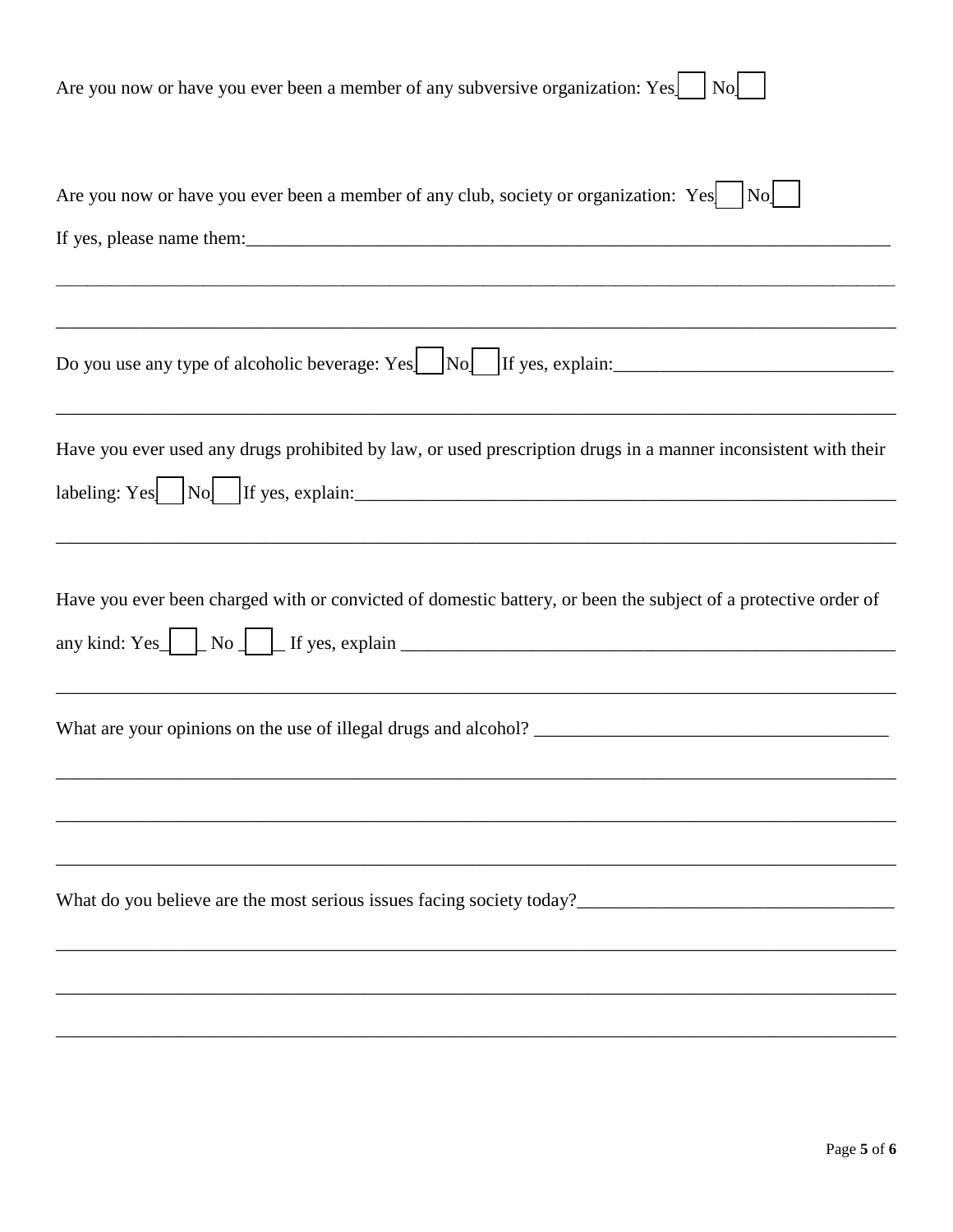| Are you now or have you ever been a member of any subversive organization: Yes $  \times  $ No                                                                                                                                                        |
|-------------------------------------------------------------------------------------------------------------------------------------------------------------------------------------------------------------------------------------------------------|
| Are you now or have you ever been a member of any club, society or organization: Yes $ No $                                                                                                                                                           |
| Do you use any type of alcoholic beverage: Yes   No   If yes, explain:                                                                                                                                                                                |
| Have you ever used any drugs prohibited by law, or used prescription drugs in a manner inconsistent with their<br>labeling: Yes $\begin{array}{ c c c c c } \hline \end{array}$ No $\begin{array}{ c c c c c c } \hline \end{array}$ If yes, explain: |
| Have you ever been charged with or convicted of domestic battery, or been the subject of a protective order of                                                                                                                                        |
|                                                                                                                                                                                                                                                       |
|                                                                                                                                                                                                                                                       |
|                                                                                                                                                                                                                                                       |
|                                                                                                                                                                                                                                                       |